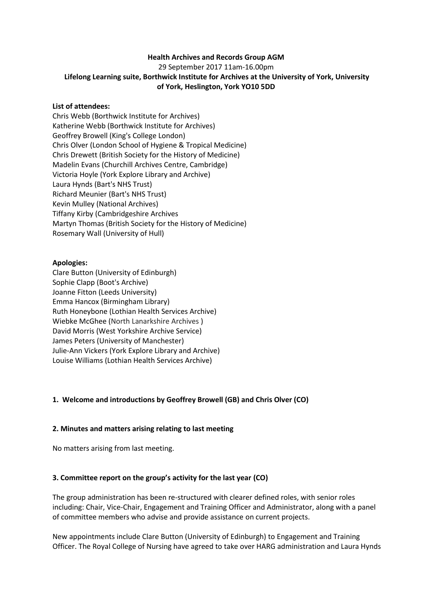### **Health Archives and Records Group AGM**

29 September 2017 11am-16.00pm

# **Lifelong Learning suite, Borthwick Institute for Archives at the University of York, University of York, Heslington, York YO10 5DD**

### **List of attendees:**

Chris Webb (Borthwick Institute for Archives) Katherine Webb (Borthwick Institute for Archives) Geoffrey Browell (King's College London) Chris Olver (London School of Hygiene & Tropical Medicine) Chris Drewett (British Society for the History of Medicine) Madelin Evans (Churchill Archives Centre, Cambridge) Victoria Hoyle (York Explore Library and Archive) Laura Hynds (Bart's NHS Trust) Richard Meunier (Bart's NHS Trust) Kevin Mulley (National Archives) Tiffany Kirby (Cambridgeshire Archives Martyn Thomas (British Society for the History of Medicine) Rosemary Wall (University of Hull)

### **Apologies:**

Clare Button (University of Edinburgh) Sophie Clapp (Boot's Archive) Joanne Fitton (Leeds University) Emma Hancox (Birmingham Library) Ruth Honeybone (Lothian Health Services Archive) Wiebke McGhee (North Lanarkshire Archives ) David Morris (West Yorkshire Archive Service) James Peters (University of Manchester) Julie-Ann Vickers (York Explore Library and Archive) Louise Williams (Lothian Health Services Archive)

### **1. Welcome and introductions by Geoffrey Browell (GB) and Chris Olver (CO)**

### **2. Minutes and matters arising relating to last meeting**

No matters arising from last meeting.

### **3. Committee report on the group's activity for the last year (CO)**

The group administration has been re-structured with clearer defined roles, with senior roles including: Chair, Vice-Chair, Engagement and Training Officer and Administrator, along with a panel of committee members who advise and provide assistance on current projects.

New appointments include Clare Button (University of Edinburgh) to Engagement and Training Officer. The Royal College of Nursing have agreed to take over HARG administration and Laura Hynds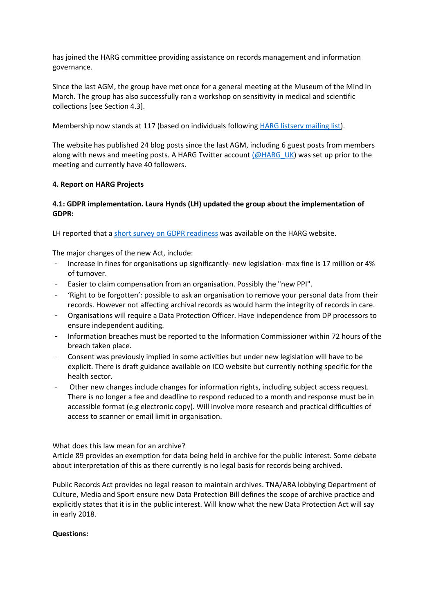has joined the HARG committee providing assistance on records management and information governance.

Since the last AGM, the group have met once for a general meeting at the Museum of the Mind in March. The group has also successfully ran a workshop on sensitivity in medical and scientific collections [see Section 4.3].

Membership now stands at 117 (based on individuals followin[g HARG listserv mailing list\)](https://www.jiscmail.ac.uk/cgi-bin/webadmin?A0=HEALTH-ARCHIVES-RECORDS-GROUP).

The website has published 24 blog posts since the last AGM, including 6 guest posts from members along with news and meeting posts. A HARG Twitter accoun[t \(@HARG\\_UK\)](https://twitter.com/HARG_UK) was set up prior to the meeting and currently have 40 followers.

### **4. Report on HARG Projects**

# **4.1: GDPR implementation. Laura Hynds (LH) updated the group about the implementation of GDPR:**

LH reported that a [short survey on](http://healtharchives.co.uk/2017/09/18/health-archives-records-group-survey-gdpr-readiness/) GDPR readiness was available on the HARG website.

The major changes of the new Act, include:

- Increase in fines for organisations up significantly- new legislation- max fine is 17 million or 4% of turnover.
- Easier to claim compensation from an organisation. Possibly the "new PPI".
- 'Right to be forgotten': possible to ask an organisation to remove your personal data from their records. However not affecting archival records as would harm the integrity of records in care.
- Organisations will require a Data Protection Officer. Have independence from DP processors to ensure independent auditing.
- Information breaches must be reported to the Information Commissioner within 72 hours of the breach taken place.
- Consent was previously implied in some activities but under new legislation will have to be explicit. There is draft guidance available on ICO website but currently nothing specific for the health sector.
- Other new changes include changes for information rights, including subject access request. There is no longer a fee and deadline to respond reduced to a month and response must be in accessible format (e.g electronic copy). Will involve more research and practical difficulties of access to scanner or email limit in organisation.

What does this law mean for an archive?

Article 89 provides an exemption for data being held in archive for the public interest. Some debate about interpretation of this as there currently is no legal basis for records being archived.

Public Records Act provides no legal reason to maintain archives. TNA/ARA lobbying Department of Culture, Media and Sport ensure new Data Protection Bill defines the scope of archive practice and explicitly states that it is in the public interest. Will know what the new Data Protection Act will say in early 2018.

### **Questions:**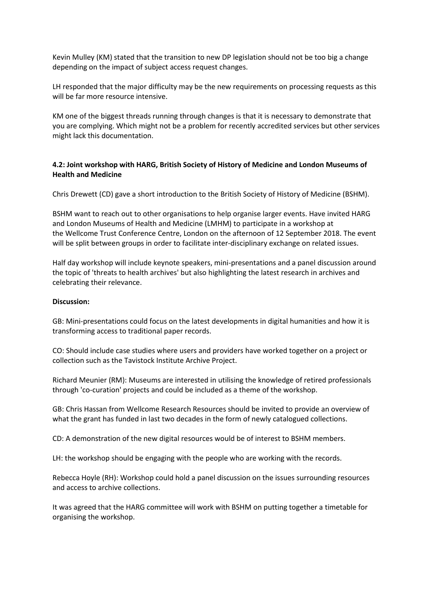Kevin Mulley (KM) stated that the transition to new DP legislation should not be too big a change depending on the impact of subject access request changes.

LH responded that the major difficulty may be the new requirements on processing requests as this will be far more resource intensive.

KM one of the biggest threads running through changes is that it is necessary to demonstrate that you are complying. Which might not be a problem for recently accredited services but other services might lack this documentation.

### **4.2: Joint workshop with HARG, British Society of History of Medicine and London Museums of Health and Medicine**

Chris Drewett (CD) gave a short introduction to the British Society of History of Medicine (BSHM).

BSHM want to reach out to other organisations to help organise larger events. Have invited HARG and London Museums of Health and Medicine (LMHM) to participate in a workshop at the Wellcome Trust Conference Centre, London on the afternoon of 12 September 2018. The event will be split between groups in order to facilitate inter-disciplinary exchange on related issues.

Half day workshop will include keynote speakers, mini-presentations and a panel discussion around the topic of 'threats to health archives' but also highlighting the latest research in archives and celebrating their relevance.

### **Discussion:**

GB: Mini-presentations could focus on the latest developments in digital humanities and how it is transforming access to traditional paper records.

CO: Should include case studies where users and providers have worked together on a project or collection such as the Tavistock Institute Archive Project.

Richard Meunier (RM): Museums are interested in utilising the knowledge of retired professionals through 'co-curation' projects and could be included as a theme of the workshop.

GB: Chris Hassan from Wellcome Research Resources should be invited to provide an overview of what the grant has funded in last two decades in the form of newly catalogued collections.

CD: A demonstration of the new digital resources would be of interest to BSHM members.

LH: the workshop should be engaging with the people who are working with the records.

Rebecca Hoyle (RH): Workshop could hold a panel discussion on the issues surrounding resources and access to archive collections.

It was agreed that the HARG committee will work with BSHM on putting together a timetable for organising the workshop.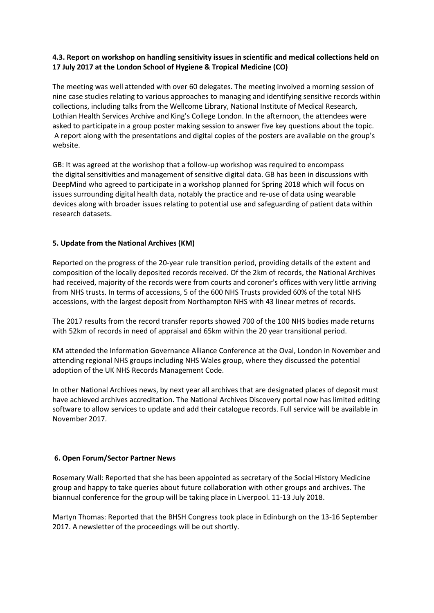### **4.3. Report on workshop on handling sensitivity issues in scientific and medical collections held on 17 July 2017 at the London School of Hygiene & Tropical Medicine (CO)**

The meeting was well attended with over 60 delegates. The meeting involved a morning session of nine case studies relating to various approaches to managing and identifying sensitive records within collections, including talks from the Wellcome Library, National Institute of Medical Research, Lothian Health Services Archive and King's College London. In the afternoon, the attendees were asked to participate in a group poster making session to answer five key questions about the topic. A report along with the presentations and digital copies of the posters are available on the group's website.

GB: It was agreed at the workshop that a follow-up workshop was required to encompass the digital sensitivities and management of sensitive digital data. GB has been in discussions with DeepMind who agreed to participate in a workshop planned for Spring 2018 which will focus on issues surrounding digital health data, notably the practice and re-use of data using wearable devices along with broader issues relating to potential use and safeguarding of patient data within research datasets.

# **5. Update from the National Archives (KM)**

Reported on the progress of the 20-year rule transition period, providing details of the extent and composition of the locally deposited records received. Of the 2km of records, the National Archives had received, majority of the records were from courts and coroner's offices with very little arriving from NHS trusts. In terms of accessions, 5 of the 600 NHS Trusts provided 60% of the total NHS accessions, with the largest deposit from Northampton NHS with 43 linear metres of records.

The 2017 results from the record transfer reports showed 700 of the 100 NHS bodies made returns with 52km of records in need of appraisal and 65km within the 20 year transitional period.

KM attended the Information Governance Alliance Conference at the Oval, London in November and attending regional NHS groups including NHS Wales group, where they discussed the potential adoption of the UK NHS Records Management Code.

In other National Archives news, by next year all archives that are designated places of deposit must have achieved archives accreditation. The National Archives Discovery portal now has limited editing software to allow services to update and add their catalogue records. Full service will be available in November 2017.

### **6. Open Forum/Sector Partner News**

Rosemary Wall: Reported that she has been appointed as secretary of the Social History Medicine group and happy to take queries about future collaboration with other groups and archives. The biannual conference for the group will be taking place in Liverpool. 11-13 July 2018.

Martyn Thomas: Reported that the BHSH Congress took place in Edinburgh on the 13-16 September 2017. A newsletter of the proceedings will be out shortly.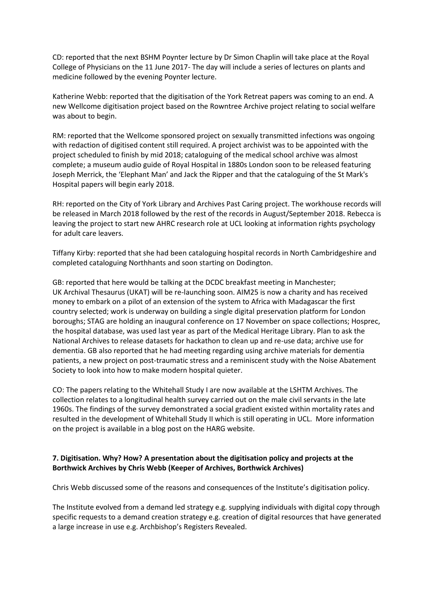CD: reported that the next BSHM Poynter lecture by Dr Simon Chaplin will take place at the Royal College of Physicians on the 11 June 2017- The day will include a series of lectures on plants and medicine followed by the evening Poynter lecture.

Katherine Webb: reported that the digitisation of the York Retreat papers was coming to an end. A new Wellcome digitisation project based on the Rowntree Archive project relating to social welfare was about to begin.

RM: reported that the Wellcome sponsored project on sexually transmitted infections was ongoing with redaction of digitised content still required. A project archivist was to be appointed with the project scheduled to finish by mid 2018; cataloguing of the medical school archive was almost complete; a museum audio guide of Royal Hospital in 1880s London soon to be released featuring Joseph Merrick, the 'Elephant Man' and Jack the Ripper and that the cataloguing of the St Mark's Hospital papers will begin early 2018.

RH: reported on the City of York Library and Archives Past Caring project. The workhouse records will be released in March 2018 followed by the rest of the records in August/September 2018. Rebecca is leaving the project to start new AHRC research role at UCL looking at information rights psychology for adult care leavers.

Tiffany Kirby: reported that she had been cataloguing hospital records in North Cambridgeshire and completed cataloguing Northhants and soon starting on Dodington.

GB: reported that here would be talking at the DCDC breakfast meeting in Manchester; UK Archival Thesaurus (UKAT) will be re-launching soon. AIM25 is now a charity and has received money to embark on a pilot of an extension of the system to Africa with Madagascar the first country selected; work is underway on building a single digital preservation platform for London boroughs; STAG are holding an inaugural conference on 17 November on space collections; Hosprec, the hospital database, was used last year as part of the Medical Heritage Library. Plan to ask the National Archives to release datasets for hackathon to clean up and re-use data; archive use for dementia. GB also reported that he had meeting regarding using archive materials for dementia patients, a new project on post-traumatic stress and a reminiscent study with the Noise Abatement Society to look into how to make modern hospital quieter.

CO: The papers relating to the Whitehall Study I are now available at the LSHTM Archives. The collection relates to a longitudinal health survey carried out on the male civil servants in the late 1960s. The findings of the survey demonstrated a social gradient existed within mortality rates and resulted in the development of Whitehall Study II which is still operating in UCL. More information on the project is available in a blog post on the HARG website.

# **7. Digitisation. Why? How? A presentation about the digitisation policy and projects at the Borthwick Archives by Chris Webb (Keeper of Archives, Borthwick Archives)**

Chris Webb discussed some of the reasons and consequences of the Institute's digitisation policy.

The Institute evolved from a demand led strategy e.g. supplying individuals with digital copy through specific requests to a demand creation strategy e.g. creation of digital resources that have generated a large increase in use e.g. Archbishop's Registers Revealed.